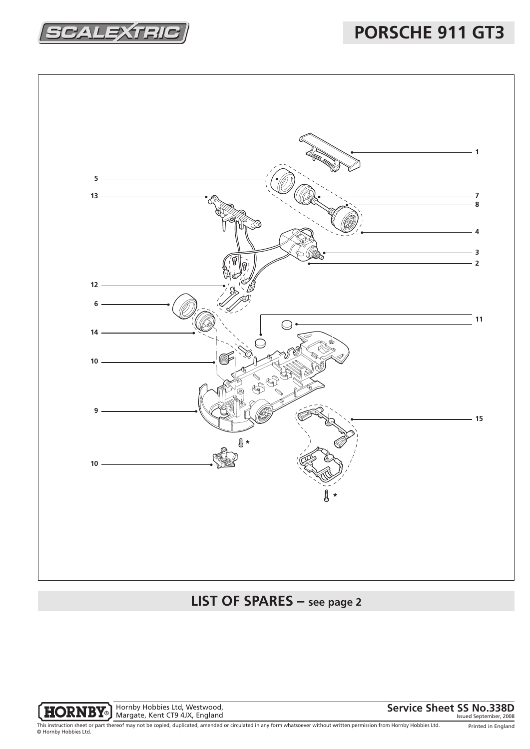2ALEX

**PORSCHE 911 GT3**



## **LIST OF SPARES – see page 2**



Hornby Hobbies Ltd, Westwood, Margate, Kent CT9 4JX, England

**Service Sheet SS No.338D** 

Printed in England